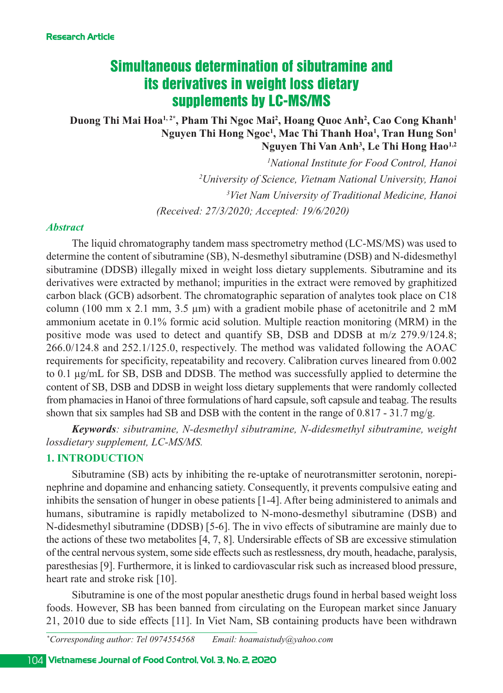# Simultaneous determination of sibutramine and its derivatives in weight loss dietary supplements by LC-MS/MS

# Duong Thi Mai Hoa<sup>1,2\*</sup>, Pham Thi Ngoc Mai<sup>2</sup>, Hoang Quoc Anh<sup>2</sup>, Cao Cong Khanh<sup>1</sup> **Nguyen Thi Hong Ngoc1 , Mac Thi Thanh Hoa1 , Tran Hung Son1 Nguyen Thi Van Anh3 , Le Thi Hong Hao1,2**

 *National Institute for Food Control, Hanoi University of Science, Vietnam National University, Hanoi Viet Nam University of Traditional Medicine, Hanoi (Received: 27/3/2020; Accepted: 19/6/2020)*

### *Abstract*

The liquid chromatography tandem mass spectrometry method (LC-MS/MS) was used to determine the content of sibutramine (SB), N-desmethyl sibutramine (DSB) and N-didesmethyl sibutramine (DDSB) illegally mixed in weight loss dietary supplements. Sibutramine and its derivatives were extracted by methanol; impurities in the extract were removed by graphitized carbon black (GCB) adsorbent. The chromatographic separation of analytes took place on C18 column (100 mm x 2.1 mm, 3.5  $\mu$ m) with a gradient mobile phase of acetonitrile and 2 mM ammonium acetate in 0.1% formic acid solution. Multiple reaction monitoring (MRM) in the positive mode was used to detect and quantify SB, DSB and DDSB at m/z 279.9/124.8; 266.0/124.8 and 252.1/125.0, respectively. The method was validated following the AOAC requirements for specificity, repeatability and recovery. Calibration curves lineared from 0.002 to 0.1 µg/mL for SB, DSB and DDSB. The method was successfully applied to determine the content of SB, DSB and DDSB in weight loss dietary supplements that were randomly collected from phamacies in Hanoi of three formulations of hard capsule, soft capsule and teabag. The results shown that six samples had SB and DSB with the content in the range of 0.817 - 31.7 mg/g.

*Keywords: sibutramine, Ndesmethyl sibutramine, Ndidesmethyl sibutramine, weight lossdietary supplement, LC-MS/MS.* 

## **1. INTRODUCTION**

Sibutramine (SB) acts by inhibiting the re-uptake of neurotransmitter serotonin, norepinephrine and dopamine and enhancing satiety. Consequently, it prevents compulsive eating and inhibits the sensation of hunger in obese patients [14]. After being administered to animals and humans, sibutramine is rapidly metabolized to N-mono-desmethyl sibutramine (DSB) and N-didesmethyl sibutramine (DDSB) [5-6]. The in vivo effects of sibutramine are mainly due to the actions of these two metabolites [4, 7, 8]. Undersirable effects of SB are excessive stimulation of the central nervous system, some side effects such as restlessness, dry mouth, headache, paralysis, paresthesias [9]. Furthermore, it is linked to cardiovascular risk such as increased blood pressure, heart rate and stroke risk [10].

Sibutramine is one of the most popular anesthetic drugs found in herbal based weight loss foods. However, SB has been banned from circulating on the European market since January 21, 2010 due to side effects [11]. In Viet Nam, SB containing products have been withdrawn

*\* Corresponding author: Tel 0974554568 Email: hoamaistudy@yahoo.com*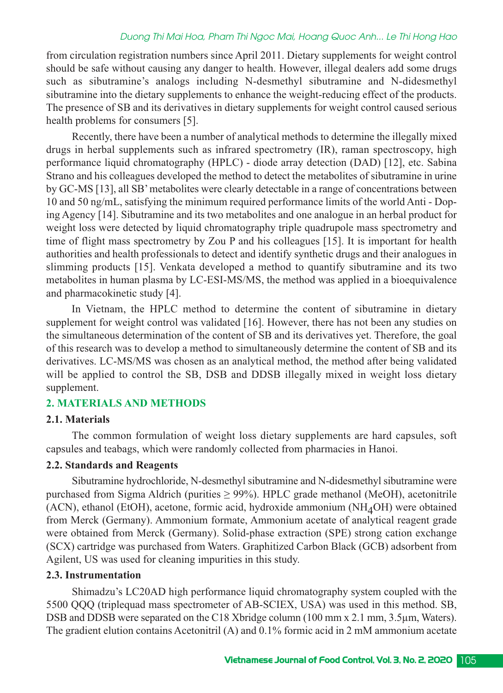## *Duong Thi Mai Hoa, Pham Thi Ngoc Mai, Hoang Quoc Anh... Le Thi Hong Hao*

from circulation registration numbers since April 2011. Dietary supplements for weight control should be safe without causing any danger to health. However, illegal dealers add some drugs such as sibutramine's analogs including N-desmethyl sibutramine and N-didesmethyl sibutramine into the dietary supplements to enhance the weight-reducing effect of the products. The presence of SB and its derivatives in dietary supplements for weight control caused serious health problems for consumers [5].

Recently, there have been a number of analytical methods to determine the illegally mixed drugs in herbal supplements such as infrared spectrometry (IR), raman spectroscopy, high performance liquid chromatography (HPLC) diode array detection (DAD) [12], etc. Sabina Strano and his colleagues developed the method to detect the metabolites of sibutramine in urine by GC-MS [13], all SB' metabolites were clearly detectable in a range of concentrations between 10 and 50 ng/mL, satisfying the minimum required performance limits of the world Anti - Doping Agency [14]. Sibutramine and its two metabolites and one analogue in an herbal product for weight loss were detected by liquid chromatography triple quadrupole mass spectrometry and time of flight mass spectrometry by Zou P and his colleagues [15]. It is important for health authorities and health professionals to detect and identify synthetic drugs and their analogues in slimming products [15]. Venkata developed a method to quantify sibutramine and its two metabolites in human plasma by LC-ESI-MS/MS, the method was applied in a bioequivalence and pharmacokinetic study [4].

In Vietnam, the HPLC method to determine the content of sibutramine in dietary supplement for weight control was validated [16]. However, there has not been any studies on the simultaneous determination of the content of SB and its derivatives yet. Therefore, the goal of this research was to develop a method to simultaneously determine the content of SB and its derivatives. LC-MS/MS was chosen as an analytical method, the method after being validated will be applied to control the SB, DSB and DDSB illegally mixed in weight loss dietary supplement.

## **2. MATERIALS AND METHODS**

#### **2.1. Materials**

The common formulation of weight loss dietary supplements are hard capsules, soft capsules and teabags, which were randomly collected from pharmacies in Hanoi.

### **2.2. Standards and Reagents**

Sibutramine hydrochloride, N-desmethyl sibutramine and N-didesmethyl sibutramine were purchased from Sigma Aldrich (purities  $\geq$  99%). HPLC grade methanol (MeOH), acetonitrile (ACN), ethanol (EtOH), acetone, formic acid, hydroxide ammonium ( $NH<sub>4</sub>OH$ ) were obtained from Merck (Germany). Ammonium formate, Ammonium acetate of analytical reagent grade were obtained from Merck (Germany). Solid-phase extraction (SPE) strong cation exchange (SCX) cartridge was purchased from Waters. Graphitized Carbon Black (GCB) adsorbent from Agilent, US was used for cleaning impurities in this study.

### **2.3. Instrumentation**

Shimadzu's LC20AD high performance liquid chromatography system coupled with the 5500 QQQ (triplequad mass spectrometer of AB-SCIEX, USA) was used in this method. SB, DSB and DDSB were separated on the C18 Xbridge column (100 mm x 2.1 mm, 3.5 µm, Waters). The gradient elution contains Acetonitril (A) and 0.1% formic acid in 2 mM ammonium acetate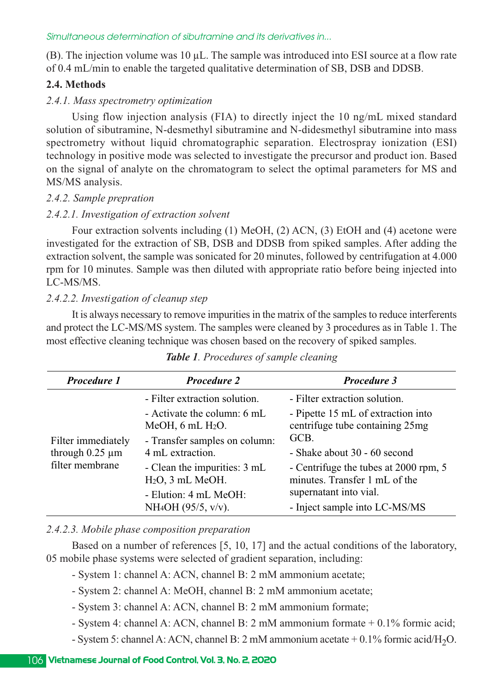(B). The injection volume was 10 µL. The sample was introduced into ESI source at a flow rate of 0.4 mL/min to enable the targeted qualitative determination of SB, DSB and DDSB.

### **2.4. Methods**

#### *2.4.1. Mass spectrometry optimization*

Using flow injection analysis (FIA) to directly inject the 10 ng/mL mixed standard solution of sibutramine, N-desmethyl sibutramine and N-didesmethyl sibutramine into mass spectrometry without liquid chromatographic separation. Electrospray ionization (ESI) technology in positive mode was selected to investigate the precursor and product ion. Based on the signal of analyte on the chromatogram to select the optimal parameters for MS and MS/MS analysis.

### *2.4.2. Sample prepration*

## *2.4.2.1. Investigation of extraction solvent*

Four extraction solvents including (1) MeOH, (2) ACN, (3) EtOH and (4) acetone were investigated for the extraction of SB, DSB and DDSB from spiked samples. After adding the extraction solvent, the sample was sonicated for 20 minutes, followed by centrifugation at 4.000 rpm for 10 minutes. Sample was then diluted with appropriate ratio before being injected into LC-MS/MS.

## *2.4.2.2. Investigation of cleanup step*

It is always necessary to remove impurities in the matrix of the samples to reduce interferents and protect the LC-MS/MS system. The samples were cleaned by 3 procedures as in Table 1. The most effective cleaning technique was chosen based on the recovery of spiked samples.

| Procedure 1                                                   | <b>Procedure 2</b>                                  | Procedure 3                                                            |  |
|---------------------------------------------------------------|-----------------------------------------------------|------------------------------------------------------------------------|--|
| Filter immediately<br>through $0.25 \mu m$<br>filter membrane | - Filter extraction solution.                       | - Filter extraction solution.                                          |  |
|                                                               | - Activate the column: 6 mL<br>MeOH, $6$ mL $H2O$ . | - Pipette 15 mL of extraction into<br>centrifuge tube containing 25mg  |  |
|                                                               | - Transfer samples on column:                       | GCB.                                                                   |  |
|                                                               | 4 mL extraction.                                    | - Shake about 30 - 60 second                                           |  |
|                                                               | - Clean the impurities: 3 mL<br>$H2O$ , 3 mL MeOH.  | - Centrifuge the tubes at 2000 rpm, 5<br>minutes. Transfer 1 mL of the |  |
|                                                               | - Elution: 4 mL MeOH:                               | supernatant into vial.                                                 |  |
|                                                               | $NH_4OH$ (95/5, v/v).                               | - Inject sample into LC-MS/MS                                          |  |

## *Table 1. Procedures of sample cleaning*

### *2.4.2.3. Mobile phase composition preparation*

Based on a number of references [5, 10, 17] and the actual conditions of the laboratory, 05 mobile phase systems were selected of gradient separation, including:

- System 1: channel A: ACN, channel B: 2 mM ammonium acetate;
- System 2: channel A: MeOH, channel B: 2 mM ammonium acetate;
- System 3: channel A: ACN, channel B: 2 mM ammonium formate;
- System 4: channel A: ACN, channel B: 2 mM ammonium formate + 0.1% formic acid;
- System 5: channel A: ACN, channel B: 2 mM ammonium acetate  $+0.1\%$  formic acid/H<sub>2</sub>O.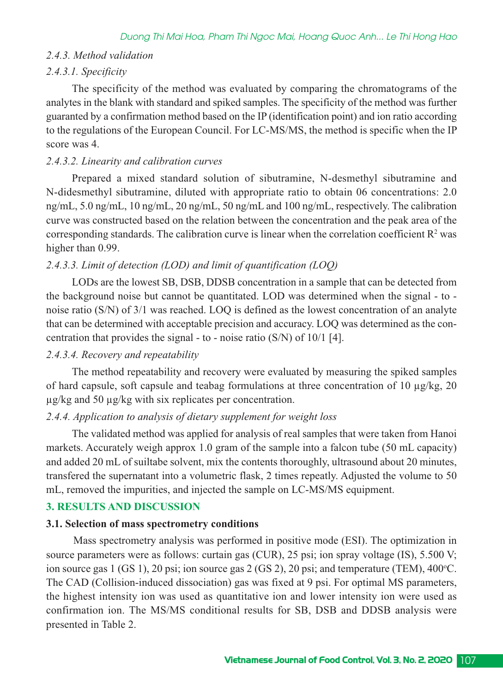## *2.4.3. Method validation*

## *2.4.3.1. Specificity*

The specificity of the method was evaluated by comparing the chromatograms of the analytes in the blank with standard and spiked samples. The specificity of the method was further guaranted by a confirmation method based on the IP (identification point) and ion ratio according to the regulations of the European Council. For LC-MS/MS, the method is specific when the IP score was 4.

## *2.4.3.2. Linearity and calibration curves*

Prepared a mixed standard solution of sibutramine, N-desmethyl sibutramine and N-didesmethyl sibutramine, diluted with appropriate ratio to obtain 06 concentrations: 2.0 ng/mL, 5.0 ng/mL, 10 ng/mL, 20 ng/mL, 50 ng/mL and 100 ng/mL, respectively. The calibration curve was constructed based on the relation between the concentration and the peak area of the corresponding standards. The calibration curve is linear when the correlation coefficient  $R<sup>2</sup>$  was higher than 0.99.

## *2.4.3.3. Limit of detection (LOD) and limit of quantification (LOQ)*

LODs are the lowest SB, DSB, DDSB concentration in a sample that can be detected from the background noise but cannot be quantitated. LOD was determined when the signal - to noise ratio (S/N) of 3/1 was reached. LOQ is defined as the lowest concentration of an analyte that can be determined with acceptable precision and accuracy. LOQ was determined as the concentration that provides the signal  $-$  to  $-$  noise ratio (S/N) of 10/1 [4].

### *2.4.3.4. Recovery and repeatability*

The method repeatability and recovery were evaluated by measuring the spiked samples of hard capsule, soft capsule and teabag formulations at three concentration of 10 µg/kg, 20 µg/kg and 50 µg/kg with six replicates per concentration.

### *2.4.4. Application to analysis of dietary supplement for weight loss*

The validated method was applied for analysis of real samples that were taken from Hanoi markets. Accurately weigh approx 1.0 gram of the sample into a falcon tube (50 mL capacity) and added 20 mL of suiltabe solvent, mix the contents thoroughly, ultrasound about 20 minutes, transfered the supernatant into a volumetric flask, 2 times repeatly. Adjusted the volume to 50 mL, removed the impurities, and injected the sample on LC-MS/MS equipment.

# **3. RESULTS AND DISCUSSION**

### **3.1. Selection of mass spectrometry conditions**

Mass spectrometry analysis was performed in positive mode (ESI). The optimization in source parameters were as follows: curtain gas (CUR), 25 psi; ion spray voltage (IS), 5.500 V; ion source gas  $1$  (GS 1), 20 psi; ion source gas  $2$  (GS 2), 20 psi; and temperature (TEM), 400 °C. The CAD (Collision-induced dissociation) gas was fixed at 9 psi. For optimal MS parameters, the highest intensity ion was used as quantitative ion and lower intensity ion were used as confirmation ion. The MS/MS conditional results for SB, DSB and DDSB analysis were presented in Table 2.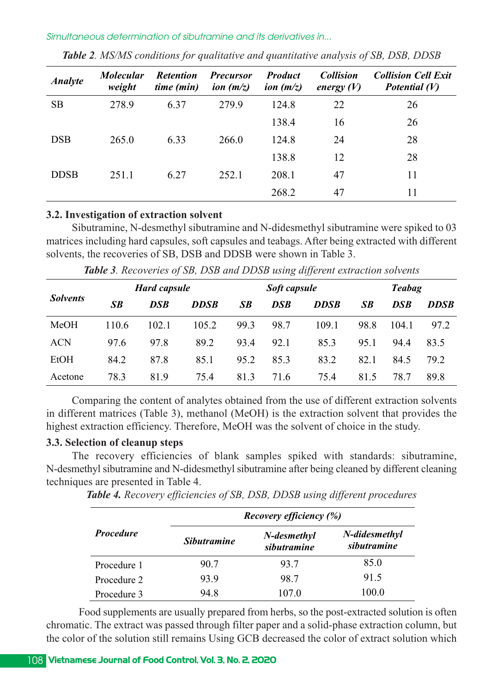| <b>Analyte</b> | <i>Molecular</i><br>weight | <b>Retention</b><br>time (min) | <b>Precursor</b><br>ion $(m/z)$ | <b>Product</b><br>ion $(m/z)$ | <b>Collision</b><br>energy $(V)$ | <b>Collision Cell Exit</b><br>Potential $(V)$ |
|----------------|----------------------------|--------------------------------|---------------------------------|-------------------------------|----------------------------------|-----------------------------------------------|
| <b>SB</b>      | 278.9                      | 6.37                           | 279.9                           | 124.8                         | 22                               | 26                                            |
|                |                            |                                |                                 | 138.4                         | 16                               | 26                                            |
| <b>DSB</b>     | 265.0                      | 6.33                           | 266.0                           | 124.8                         | 24                               | 28                                            |
|                |                            |                                |                                 | 138.8                         | 12                               | 28                                            |
| <b>DDSB</b>    | 251.1                      | 6.27                           | 252.1                           | 208.1                         | 47                               | 11                                            |
|                |                            |                                |                                 | 268.2                         | 47                               | 11                                            |

*Table 2. MS/MS conditions for qualitative and quantitative analysis of SB, DSB, DDSB*

## **3.2. Investigation of extraction solvent**

Sibutramine, N-desmethyl sibutramine and N-didesmethyl sibutramine were spiked to 03 matrices including hard capsules, soft capsules and teabags. After being extracted with different solvents, the recoveries of SB, DSB and DDSB were shown in Table 3.

| <b>Solvents</b> | <b>Hard capsule</b> |            | Soft capsule |      |            | <b>Teabag</b> |      |            |             |
|-----------------|---------------------|------------|--------------|------|------------|---------------|------|------------|-------------|
|                 | SB                  | <b>DSB</b> | <b>DDSB</b>  | SB   | <b>DSB</b> | <b>DDSB</b>   | SB   | <b>DSB</b> | <b>DDSB</b> |
| <b>MeOH</b>     | 110.6               | 102.1      | 105.2        | 99.3 | 98.7       | 109.1         | 98.8 | 104.1      | 97.2        |
| <b>ACN</b>      | 97.6                | 97.8       | 89.2         | 93.4 | 92.1       | 85.3          | 95.1 | 94.4       | 83.5        |
| EtOH            | 84.2                | 87.8       | 85.1         | 95.2 | 85.3       | 83.2          | 82.1 | 84.5       | 79.2        |
| Acetone         | 78.3                | 81.9       | 75.4         | 81.3 | 71.6       | 75.4          | 81.5 | 78.7       | 89.8        |

*Table 3. Recoveries of SB, DSB and DDSB using different extraction solvents*

Comparing the content of analytes obtained from the use of different extraction solvents in different matrices (Table 3), methanol (MeOH) is the extraction solvent that provides the highest extraction efficiency. Therefore, MeOH was the solvent of choice in the study.

## **3.3. Selection of cleanup steps**

The recovery efficiencies of blank samples spiked with standards: sibutramine, N-desmethyl sibutramine and N-didesmethyl sibutramine after being cleaned by different cleaning techniques are presented in Table 4.

*Table 4. Recovery efficiencies of SB, DSB, DDSB using different procedures*

|                  |                    | <b>Recovery efficiency (%)</b> |                              |
|------------------|--------------------|--------------------------------|------------------------------|
| <b>Procedure</b> | <i>Sibutramine</i> | N-desmethyl<br>sibutramine     | N-didesmethyl<br>sibutramine |
| Procedure 1      | 90.7               | 93.7                           | 85.0                         |
| Procedure 2      | 93.9               | 98.7                           | 91.5                         |
| Procedure 3      | 94.8               | 107.0                          | 100.0                        |

Food supplements are usually prepared from herbs, so the post-extracted solution is often chromatic. The extract was passed through filter paper and a solid-phase extraction column, but the color of the solution still remains Using GCB decreased the color of extract solution which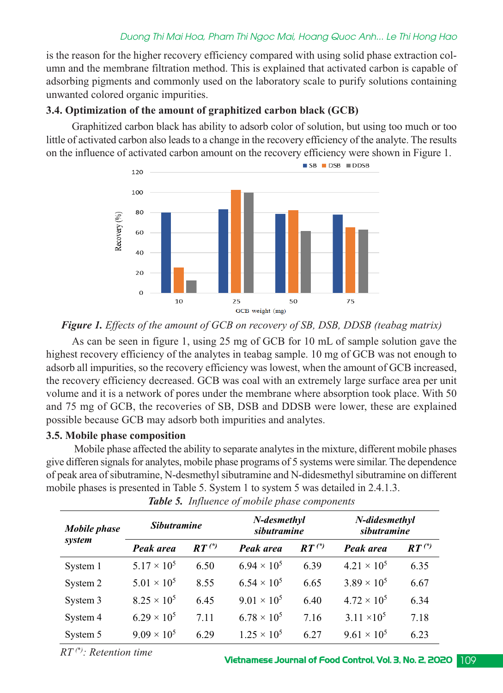## *Duong Thi Mai Hoa, Pham Thi Ngoc Mai, Hoang Quoc Anh... Le Thi Hong Hao*

is the reason for the higher recovery efficiency compared with using solid phase extraction column and the membrane filtration method. This is explained that activated carbon is capable of adsorbing pigments and commonly used on the laboratory scale to purify solutions containing unwanted colored organic impurities.

## **3.4. Optimization of the amount of graphitized carbon black (GCB)**

Graphitized carbon black has ability to adsorb color of solution, but using too much or too little of activated carbon also leads to a change in the recovery efficiency of the analyte. The results on the influence of activated carbon amount on the recovery efficiency were shown in Figure 1.



# *Figure 1. Effects of the amount of GCB on recovery of SB, DSB, DDSB (teabag matrix)*

As can be seen in figure 1, using 25 mg of GCB for 10 mL of sample solution gave the highest recovery efficiency of the analytes in teabag sample. 10 mg of GCB was not enough to adsorb all impurities, so the recovery efficiency was lowest, when the amount of GCB increased, the recovery efficiency decreased. GCB was coal with an extremely large surface area per unit volume and it is a network of pores under the membrane where absorption took place. With 50 and 75 mg of GCB, the recoveries of SB, DSB and DDSB were lower, these are explained possible because GCB may adsorb both impurities and analytes.

### **3.5. Mobile phase composition**

Mobile phase affected the ability to separate analytes in the mixture, different mobile phases give differen signals for analytes, mobile phase programs of 5 systems were similar. The dependence of peak area of sibutramine, N-desmethyl sibutramine and N-didesmethyl sibutramine on different mobile phases is presented in Table 5. System 1 to system 5 was detailed in 2.4.1.3.

| <b>Mobile</b> phase<br>system | <b>Sibutramine</b>   |            | N-didesmethyl<br>N-desmethyl<br>sibutramine<br>sibutramine |            |                      |            |  |
|-------------------------------|----------------------|------------|------------------------------------------------------------|------------|----------------------|------------|--|
|                               | Peak area            | $RT^{(*)}$ | Peak area                                                  | $RT^{(*)}$ | Peak area            | $RT^{(*)}$ |  |
| System 1                      | $5.17 \times 10^{5}$ | 6.50       | $6.94 \times 10^{5}$                                       | 6.39       | $4.21 \times 10^{5}$ | 6.35       |  |
| System 2                      | $5.01 \times 10^{5}$ | 8.55       | $6.54 \times 10^{5}$                                       | 6.65       | $3.89 \times 10^{5}$ | 6.67       |  |
| System 3                      | $8.25 \times 10^5$   | 6.45       | $9.01 \times 10^{5}$                                       | 6.40       | $4.72 \times 10^{5}$ | 6.34       |  |
| System 4                      | $6.29 \times 10^{5}$ | 7.11       | $6.78 \times 10^{5}$                                       | 7.16       | $3.11 \times 10^5$   | 7.18       |  |
| System 5                      | $9.09 \times 10^5$   | 6.29       | $1.25 \times 10^5$                                         | 6.27       | $9.61 \times 10^5$   | 6.23       |  |

*Table 5. Influence of mobile phase components*

*RT (\*): Retention time*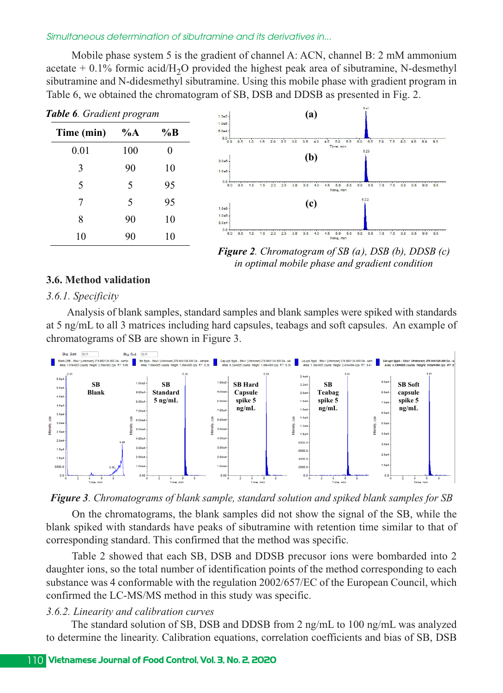Mobile phase system 5 is the gradient of channel A: ACN, channel B: 2 mM ammonium acetate  $+$  0.1% formic acid/H<sub>2</sub>O provided the highest peak area of sibutramine, N-desmethyl sibutramine and N-didesmethyl sibutramine. Using this mobile phase with gradient program in Table 6, we obtained the chromatogram of SB, DSB and DDSB as presented in Fig. 2.



*Figure 2. Chromatogram of SB (a), DSB (b), DDSB (c) in optimal mobile phase and gradient condition*

### **3.6. Method validation**

#### *3.6.1. Specificity*

Analysis of blank samples, standard samples and blank samples were spiked with standards at 5 ng/mL to all 3 matrices including hard capsules, teabags and soft capsules. An example of chromatograms of SB are shown in Figure 3.



*Figure 3. Chromatograms of blank sample, standard solution and spiked blank samples for SB*

On the chromatograms, the blank samples did not show the signal of the SB, while the blank spiked with standards have peaks of sibutramine with retention time similar to that of corresponding standard. This confirmed that the method was specific.

Table 2 showed that each SB, DSB and DDSB precusor ions were bombarded into 2 daughter ions, so the total number of identification points of the method corresponding to each substance was 4 conformable with the regulation 2002/657/EC of the European Council, which confirmed the LC-MS/MS method in this study was specific.

#### *3.6.2. Linearity and calibration curves*

The standard solution of SB, DSB and DDSB from 2 ng/mL to 100 ng/mL was analyzed to determine the linearity. Calibration equations, correlation coefficients and bias of SB, DSB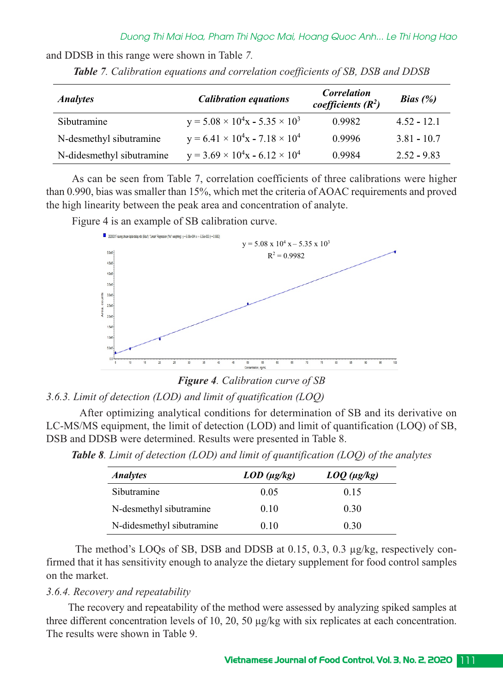and DDSB in this range were shown in Table *7.*

| <b>Analytes</b>           | <b>Calibration equations</b>                  | <b>Correlation</b><br>coefficients $(R^2)$ | Bias $(%)$    |  |
|---------------------------|-----------------------------------------------|--------------------------------------------|---------------|--|
| Sibutramine               | $y = 5.08 \times 10^4$ x - 5.35 $\times 10^3$ | 0.9982                                     | $4.52 - 12.1$ |  |
| N-desmethyl sibutramine   | $y = 6.41 \times 10^4$ x - 7.18 $\times 10^4$ | 0.9996                                     | $3.81 - 10.7$ |  |
| N-didesmethyl sibutramine | $y = 3.69 \times 10^4$ x - 6.12 $\times 10^4$ | 0.9984                                     | $2.52 - 9.83$ |  |

*Table 7. Calibration equations and correlation coefficients of SB, DSB and DDSB*

As can be seen from Table 7, correlation coefficients of three calibrations were higher than 0.990, bias was smaller than 15%, which met the criteria of AOAC requirements and proved the high linearity between the peak area and concentration of analyte.

Figure 4 is an example of SB calibration curve.



*Figure 4. Calibration curve of SB*

## *3.6.3. Limit of detection (LOD) and limit of quatification (LOQ)*

After optimizing analytical conditions for determination of SB and its derivative on LC-MS/MS equipment, the limit of detection (LOD) and limit of quantification (LOQ) of SB, DSB and DDSB were determined. Results were presented in Table 8.

| <i>Analytes</i>           | $LOD \, (\mu g/kg)$ | $L OQ (\mu g/kg)$ |  |
|---------------------------|---------------------|-------------------|--|
| Sibutramine               | 0.05                | 0.15              |  |
| N-desmethyl sibutramine   | 0.10                | 0.30              |  |
| N-didesmethyl sibutramine | 0.10                | 0.30              |  |

*Table 8. Limit of detection (LOD) and limit of quantification (LOQ) of the analytes*

The method's LOQs of SB, DSB and DDSB at 0.15, 0.3, 0.3 µg/kg, respectively confirmed that it has sensitivity enough to analyze the dietary supplement for food control samples on the market.

#### *3.6.4. Recovery and repeatability*

The recovery and repeatability of the method were assessed by analyzing spiked samples at three different concentration levels of 10, 20, 50 µg/kg with six replicates at each concentration. The results were shown in Table 9.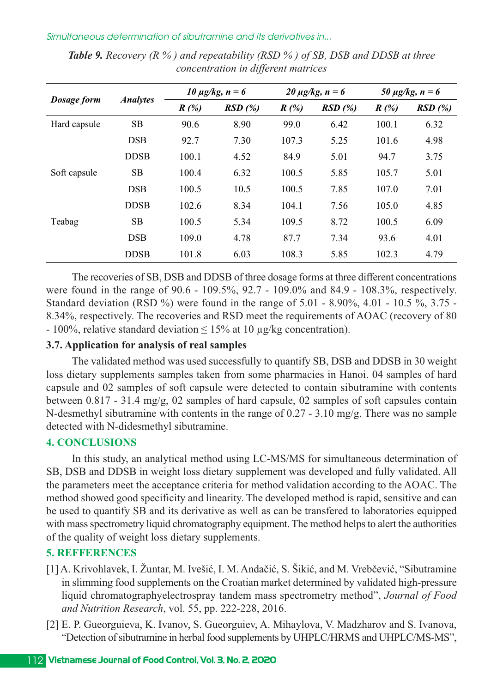| Dosage form  |                 | 10 $\mu$ g/kg, n = 6 |        | 20 $\mu$ g/kg, n = 6 |        | 50 $\mu$ g/kg, n = 6 |        |
|--------------|-----------------|----------------------|--------|----------------------|--------|----------------------|--------|
|              | <b>Analytes</b> | R(%)                 | RSD(%) | R(%)                 | RSD(%) | $R(\%)$              | RSD(%) |
| Hard capsule | <b>SB</b>       | 90.6                 | 8.90   | 99.0                 | 6.42   | 100.1                | 6.32   |
|              | <b>DSB</b>      | 92.7                 | 7.30   | 107.3                | 5.25   | 101.6                | 4.98   |
|              | <b>DDSB</b>     | 100.1                | 4.52   | 84.9                 | 5.01   | 94.7                 | 3.75   |
| Soft capsule | <b>SB</b>       | 100.4                | 6.32   | 100.5                | 5.85   | 105.7                | 5.01   |
|              | <b>DSB</b>      | 100.5                | 10.5   | 100.5                | 7.85   | 107.0                | 7.01   |
|              | <b>DDSB</b>     | 102.6                | 8.34   | 104.1                | 7.56   | 105.0                | 4.85   |
| Teabag       | <b>SB</b>       | 100.5                | 5.34   | 109.5                | 8.72   | 100.5                | 6.09   |
|              | <b>DSB</b>      | 109.0                | 4.78   | 87.7                 | 7.34   | 93.6                 | 4.01   |
|              | <b>DDSB</b>     | 101.8                | 6.03   | 108.3                | 5.85   | 102.3                | 4.79   |

*Table 9. Recovery (R % ) and repeatability (RSD % ) of SB, DSB and DDSB at three concentration in different matrices*

The recoveries of SB, DSB and DDSB of three dosage forms at three different concentrations were found in the range of 90.6 - 109.5%, 92.7 - 109.0% and 84.9 - 108.3%, respectively. Standard deviation (RSD %) were found in the range of 5.01 - 8.90%, 4.01 - 10.5 %, 3.75 -8.34%, respectively. The recoveries and RSD meet the requirements of AOAC (recovery of 80 - 100%, relative standard deviation  $\leq 15\%$  at 10 µg/kg concentration).

# **3.7. Application for analysis of real samples**

The validated method was used successfully to quantify SB, DSB and DDSB in 30 weight loss dietary supplements samples taken from some pharmacies in Hanoi. 04 samples of hard capsule and 02 samples of soft capsule were detected to contain sibutramine with contents between  $0.817 - 31.4$  mg/g, 02 samples of hard capsule, 02 samples of soft capsules contain N-desmethyl sibutramine with contents in the range of  $0.27 - 3.10$  mg/g. There was no sample detected with N-didesmethyl sibutramine.

#### **4. CONCLUSIONS**

In this study, an analytical method using LC-MS/MS for simultaneous determination of SB, DSB and DDSB in weight loss dietary supplement was developed and fully validated. All the parameters meet the acceptance criteria for method validation according to the AOAC. The method showed good specificity and linearity. The developed method is rapid, sensitive and can be used to quantify SB and its derivative as well as can be transfered to laboratories equipped with mass spectrometry liquid chromatography equipment. The method helps to alert the authorities of the quality of weight loss dietary supplements.

### **5. REFFERENCES**

- [1] A. Krivohlavek, I. Žuntar, M. Ivešić, I. M. Andačić, S. Šikić, and M. Vrebčević, "Sibutramine in slimming food supplements on the Croatian market determined by validated high-pressure liquid chromatographyelectrospray tandem mass spectrometry method", *Journal of Food and Nutrition Research, vol.* 55, pp. 222-228, 2016.
- [2] E. P. Gueorguieva, K. Ivanov, S. Gueorguiev, A. Mihaylova, V. Madzharov and S. Ivanova, "Detection of sibutramine in herbal food supplements by UHPLC/HRMS and UHPLC/MS-MS",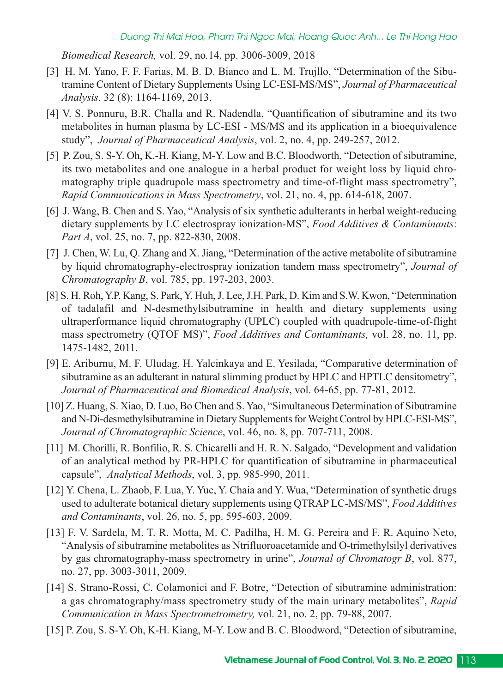*Biomedical Research, vol. 29, no.14, pp. 3006-3009, 2018* 

- [3] H. M. Yano, F. F. Farias, M. B. D. Bianco and L. M. Trujllo, "Determination of the Sibutramine Content of Dietary Supplements Using LCESIMS/MS", *Journal of Pharmaceutical Analysis*. 32 (8): 1164-1169, 2013.
- [4] V. S. Ponnuru, B.R. Challa and R. Nadendla, "Quantification of sibutramine and its two metabolites in human plasma by LC-ESI - MS/MS and its application in a bioequivalence study", *Journal of Pharmaceutical Analysis*, vol. 2, no. 4, pp. 249-257, 2012.
- [5] P. Zou, S. S-Y. Oh, K.-H. Kiang, M-Y. Low and B.C. Bloodworth, "Detection of sibutramine, its two metabolites and one analogue in a herbal product for weight loss by liquid chromatography triple quadrupole mass spectrometry and time-of-flight mass spectrometry", *Rapid Communications in Mass Spectrometry*, vol. 21, no. 4, pp. 614-618, 2007.
- [6] J. Wang, B. Chen and S. Yao, "Analysis of six synthetic adulterants in herbal weight-reducing dietary supplements by LC electrospray ionization-MS", *Food Additives & Contaminants*: *Part A*, vol. 25, no. 7, pp. 822-830, 2008.
- [7] J. Chen, W. Lu, Q. Zhang and X. Jiang, "Determination of the active metabolite of sibutramine by liquid chromatography-electrospray ionization tandem mass spectrometry", *Journal of Chromatography B*, vol. 785, pp. 197-203, 2003.
- [8] S. H. Roh, Y.P. Kang, S. Park, Y. Huh, J. Lee, J.H. Park, D. Kim and S.W. Kwon, "Determination of tadalafil and N-desmethylsibutramine in health and dietary supplements using ultraperformance liquid chromatography (UPLC) coupled with quadrupole-time-of-flight mass spectrometry (QTOF MS)", *Food Additives and Contaminants,* vol. 28, no. 11, pp. 14751482, 2011.
- [9] E. Ariburnu, M. F. Uludag, H. Yalcinkaya and E. Yesilada, "Comparative determination of sibutramine as an adulterant in natural slimming product by HPLC and HPTLC densitometry", *Journal of Pharmaceutical and Biomedical Analysis*, vol. 64-65, pp. 77-81, 2012.
- [10] Z. Huang, S. Xiao, D. Luo, Bo Chen and S. Yao, "Simultaneous Determination of Sibutramine and N-Di-desmethylsibutramine in Dietary Supplements for Weight Control by HPLC-ESI-MS", *Journal of Chromatographic Science*, vol. 46, no. 8, pp. 707-711, 2008.
- [11] M. Chorilli, R. Bonfilio, R. S. Chicarelli and H. R. N. Salgado, "Development and validation of an analytical method by PR-HPLC for quantification of sibutramine in pharmaceutical capsule", *Analytical Methods*, vol. 3, pp. 985-990, 2011.
- [12] Y. Chena, L. Zhaob, F. Lua, Y. Yuc, Y. Chaia and Y. Wua, "Determination of synthetic drugs used to adulterate botanical dietary supplements using QTRAP LC-MS/MS", *Food Additives and Contaminants*, vol. 26, no. 5, pp. 595-603, 2009.
- [13] F. V. Sardela, M. T. R. Motta, M. C. Padilha, H. M. G. Pereira and F. R. Aquino Neto, "Analysis of sibutramine metabolites as Ntrifluoroacetamide and O-trimethylsilyl derivatives by gas chromatography-mass spectrometry in urine", *Journal of Chromatogr B*, vol. 877, no. 27, pp. 3003-3011, 2009.
- [14] S. Strano-Rossi, C. Colamonici and F. Botre, "Detection of sibutramine administration: a gas chromatography/mass spectrometry study of the main urinary metabolites", *Rapid Communication in Mass Spectrometrometry, vol. 21, no. 2, pp. 79-88, 2007.*
- [15] P. Zou, S. S-Y. Oh, K-H. Kiang, M-Y. Low and B. C. Bloodword, "Detection of sibutramine,